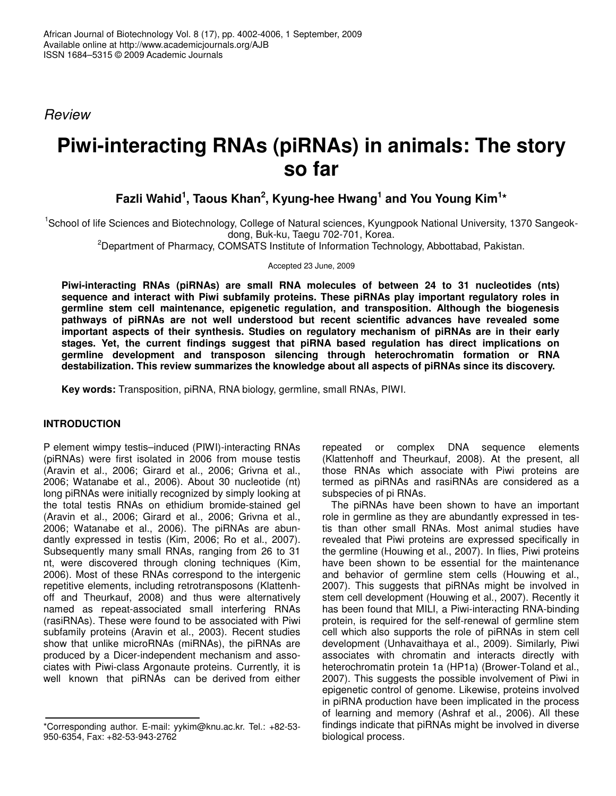*Review*

# **Piwi-interacting RNAs (piRNAs) in animals: The story so far**

## **Fazli Wahid 1 , Taous Khan 2 , Kyung-hee Hwang 1 and You Young Kim 1 \***

<sup>1</sup>School of life Sciences and Biotechnology, College of Natural sciences, Kyungpook National University, 1370 Sangeokdong, Buk-ku, Taegu 702-701, Korea.

<sup>2</sup>Department of Pharmacy, COMSATS Institute of Information Technology, Abbottabad, Pakistan.

Accepted 23 June, 2009

**Piwi-interacting RNAs (piRNAs) are small RNA molecules of between 24 to 31 nucleotides (nts) sequence and interact with Piwi subfamily proteins. These piRNAs play important regulatory roles in germline stem cell maintenance, epigenetic regulation, and transposition. Although the biogenesis pathways of piRNAs are not well understood but recent scientific advances have revealed some important aspects of their synthesis. Studies on regulatory mechanism of piRNAs are in their early stages. Yet, the current findings suggest that piRNA based regulation has direct implications on germline development and transposon silencing through heterochromatin formation or RNA destabilization. This review summarizes the knowledge about all aspects of piRNAs since its discovery.**

**Key words:** Transposition, piRNA, RNA biology, germline, small RNAs, PIWI.

#### **INTRODUCTION**

P element wimpy testis–induced (PIWI)-interacting RNAs (piRNAs) were first isolated in 2006 from mouse testis (Aravin et al., 2006; Girard et al., 2006; Grivna et al., 2006; Watanabe et al., 2006). About 30 nucleotide (nt) long piRNAs were initially recognized by simply looking at the total testis RNAs on ethidium bromide-stained gel (Aravin et al., 2006; Girard et al., 2006; Grivna et al., 2006; Watanabe et al., 2006). The piRNAs are abundantly expressed in testis (Kim, 2006; Ro et al., 2007). Subsequently many small RNAs, ranging from 26 to 31 nt, were discovered through cloning techniques (Kim, 2006). Most of these RNAs correspond to the intergenic repetitive elements, including retrotransposons (Klattenhoff and Theurkauf, 2008) and thus were alternatively named as repeat-associated small interfering RNAs (rasiRNAs). These were found to be associated with Piwi subfamily proteins (Aravin et al., 2003). Recent studies show that unlike microRNAs (miRNAs), the piRNAs are produced by a Dicer-independent mechanism and associates with Piwi-class Argonaute proteins. Currently, it is well known that piRNAs can be derived from either

repeated or complex DNA sequence elements (Klattenhoff and Theurkauf, 2008). At the present, all those RNAs which associate with Piwi proteins are termed as piRNAs and rasiRNAs are considered as a subspecies of pi RNAs.

The piRNAs have been shown to have an important role in germline as they are abundantly expressed in testis than other small RNAs. Most animal studies have revealed that Piwi proteins are expressed specifically in the germline (Houwing et al., 2007). In flies, Piwi proteins have been shown to be essential for the maintenance and behavior of germline stem cells (Houwing et al., 2007). This suggests that piRNAs might be involved in stem cell development (Houwing et al., 2007). Recently it has been found that MILI, a Piwi-interacting RNA-binding protein, is required for the self-renewal of germline stem cell which also supports the role of piRNAs in stem cell development (Unhavaithaya et al., 2009). Similarly, Piwi associates with chromatin and interacts directly with heterochromatin protein 1a (HP1a) (Brower-Toland et al., 2007). This suggests the possible involvement of Piwi in epigenetic control of genome. Likewise, proteins involved in piRNA production have been implicated in the process of learning and memory (Ashraf et al., 2006). All these findings indicate that piRNAs might be involved in diverse biological process.

<sup>\*</sup>Corresponding author. E-mail: yykim@knu.ac.kr. Tel.: +82-53- 950-6354, Fax: +82-53-943-2762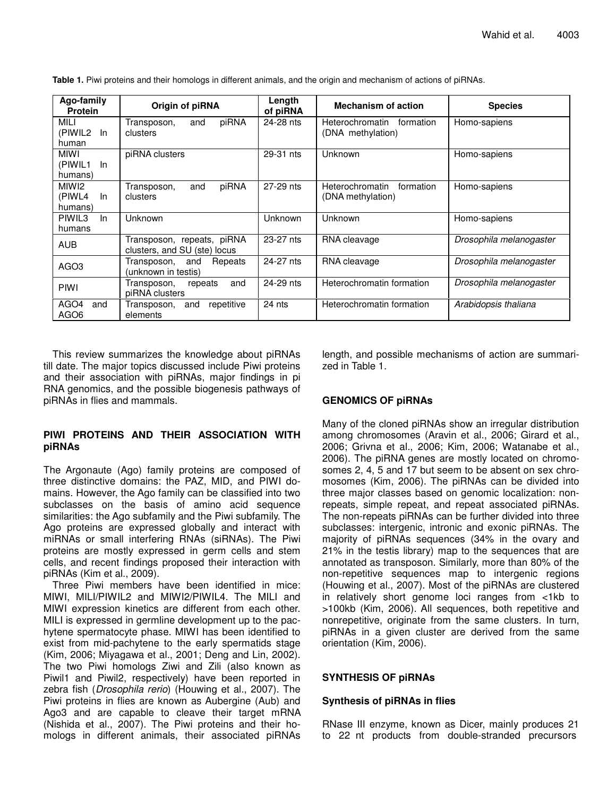| Ago-family<br><b>Protein</b>      | Origin of piRNA                                            | Length<br>of piRNA | <b>Mechanism of action</b>                        | <b>Species</b>          |
|-----------------------------------|------------------------------------------------------------|--------------------|---------------------------------------------------|-------------------------|
| MILI<br>(PIWIL2<br>ln.<br>human   | piRNA<br>Transposon,<br>and<br>clusters                    | 24-28 nts          | Heterochromatin<br>formation<br>(DNA methylation) | Homo-sapiens            |
| MIWI<br>(PIWIL1<br>-ln<br>humans) | piRNA clusters                                             | 29-31 nts          | Unknown                                           | Homo-sapiens            |
| MIWI2<br>(PIWL4<br>In.<br>humans) | piRNA<br>and<br>Transposon,<br>clusters                    | 27-29 nts          | Heterochromatin<br>formation<br>(DNA methylation) | Homo-sapiens            |
| PIWIL3<br>In.<br>humans           | Unknown                                                    | Unknown            | Unknown                                           | Homo-sapiens            |
| <b>AUB</b>                        | Transposon, repeats, piRNA<br>clusters, and SU (ste) locus | 23-27 nts          | RNA cleavage                                      | Drosophila melanogaster |
| AGO <sub>3</sub>                  | Transposon,<br>Repeats<br>and<br>(unknown in testis)       | 24-27 nts          | RNA cleavage                                      | Drosophila melanogaster |
| <b>PIWI</b>                       | Transposon,<br>and<br>repeats<br>piRNA clusters            | 24-29 nts          | Heterochromatin formation                         | Drosophila melanogaster |
| AGO4<br>and<br>AGO <sub>6</sub>   | repetitive<br>Transposon,<br>and<br>elements               | 24 nts             | Heterochromatin formation                         | Arabidopsis thaliana    |

**Table 1.** Piwi proteins and their homologs in different animals, and the origin and mechanism of actions of piRNAs.

This review summarizes the knowledge about piRNAs till date. The major topics discussed include Piwi proteins and their association with piRNAs, major findings in pi RNA genomics, and the possible biogenesis pathways of piRNAs in flies and mammals.

#### **PIWI PROTEINS AND THEIR ASSOCIATION WITH piRNAs**

The Argonaute (Ago) family proteins are composed of three distinctive domains: the PAZ, MID, and PIWI domains. However, the Ago family can be classified into two subclasses on the basis of amino acid sequence similarities: the Ago subfamily and the Piwi subfamily. The Ago proteins are expressed globally and interact with miRNAs or small interfering RNAs (siRNAs). The Piwi proteins are mostly expressed in germ cells and stem cells, and recent findings proposed their interaction with piRNAs (Kim et al., 2009).

Three Piwi members have been identified in mice: MIWI, MILI/PIWIL2 and MIWI2/PIWIL4. The MILI and MIWI expression kinetics are different from each other. MILI is expressed in germline development up to the pachytene spermatocyte phase. MIWI has been identified to exist from mid-pachytene to the early spermatids stage (Kim, 2006; Miyagawa et al., 2001; Deng and Lin, 2002). The two Piwi homologs Ziwi and Zili (also known as Piwil1 and Piwil2, respectively) have been reported in zebra fish (*Drosophila rerio*) (Houwing et al., 2007). The Piwi proteins in flies are known as Aubergine (Aub) and Ago3 and are capable to cleave their target mRNA (Nishida et al., 2007). The Piwi proteins and their homologs in different animals, their associated piRNAs

length, and possible mechanisms of action are summarized in Table 1.

### **GENOMICS OF piRNAs**

Many of the cloned piRNAs show an irregular distribution among chromosomes (Aravin et al., 2006; Girard et al., 2006; Grivna et al., 2006; Kim, 2006; Watanabe et al., 2006). The piRNA genes are mostly located on chromosomes 2, 4, 5 and 17 but seem to be absent on sex chromosomes (Kim, 2006). The piRNAs can be divided into three major classes based on genomic localization: nonrepeats, simple repeat, and repeat associated piRNAs. The non-repeats piRNAs can be further divided into three subclasses: intergenic, intronic and exonic piRNAs. The majority of piRNAs sequences (34% in the ovary and 21% in the testis library) map to the sequences that are annotated as transposon. Similarly, more than 80% of the non-repetitive sequences map to intergenic regions (Houwing et al., 2007). Most of the piRNAs are clustered in relatively short genome loci ranges from <1kb to >100kb (Kim, 2006). All sequences, both repetitive and nonrepetitive, originate from the same clusters. In turn, piRNAs in a given cluster are derived from the same orientation (Kim, 2006).

#### **SYNTHESIS OF piRNAs**

#### **Synthesis of piRNAs in flies**

RNase III enzyme, known as Dicer, mainly produces 21 to 22 nt products from double-stranded precursors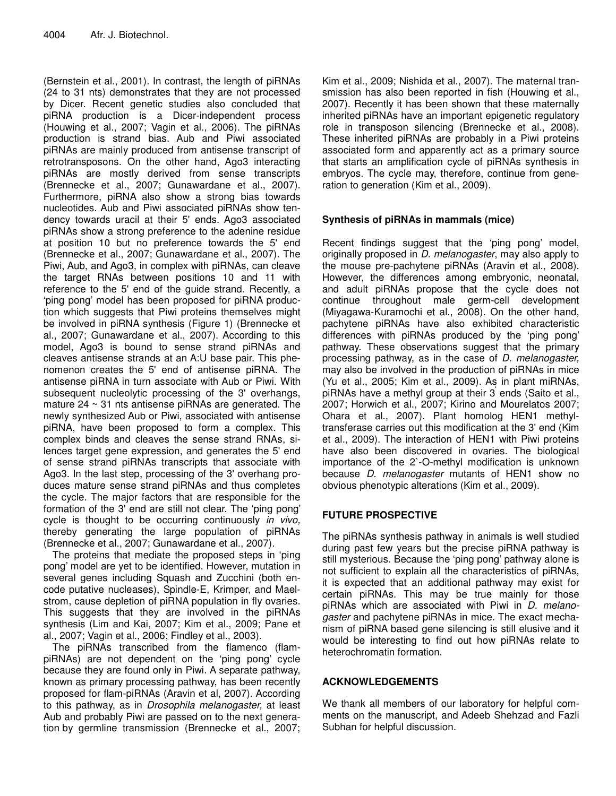(Bernstein et al., 2001). In contrast, the length of piRNAs (24 to 31 nts) demonstrates that they are not processed by Dicer. Recent genetic studies also concluded that piRNA production is a Dicer-independent process (Houwing et al., 2007; Vagin et al., 2006). The piRNAs production is strand bias. Aub and Piwi associated piRNAs are mainly produced from antisense transcript of retrotransposons. On the other hand, Ago3 interacting piRNAs are mostly derived from sense transcripts (Brennecke et al., 2007; Gunawardane et al., 2007). Furthermore, piRNA also show a strong bias towards nucleotides. Aub and Piwi associated piRNAs show tendency towards uracil at their 5' ends. Ago3 associated piRNAs show a strong preference to the adenine residue at position 10 but no preference towards the 5' end (Brennecke et al., 2007; Gunawardane et al., 2007). The Piwi, Aub, and Ago3, in complex with piRNAs, can cleave the target RNAs between positions 10 and 11 with reference to the 5' end of the guide strand. Recently, a 'ping pong' model has been proposed for piRNA production which suggests that Piwi proteins themselves might be involved in piRNA synthesis (Figure 1) (Brennecke et al., 2007; Gunawardane et al., 2007). According to this model, Ago3 is bound to sense strand piRNAs and cleaves antisense strands at an A:U base pair. This phenomenon creates the 5' end of antisense piRNA. The antisense piRNA in turn associate with Aub or Piwi. With subsequent nucleolytic processing of the 3' overhangs, mature 24 ~ 31 nts antisense piRNAs are generated. The newly synthesized Aub or Piwi, associated with antisense piRNA, have been proposed to form a complex. This complex binds and cleaves the sense strand RNAs, silences target gene expression, and generates the 5' end of sense strand piRNAs transcripts that associate with Ago3. In the last step, processing of the 3' overhang produces mature sense strand piRNAs and thus completes the cycle. The major factors that are responsible for the formation of the 3' end are still not clear. The 'ping pong' cycle is thought to be occurring continuously *in vivo,* thereby generating the large population of piRNAs (Brennecke et al., 2007; Gunawardane et al., 2007).

The proteins that mediate the proposed steps in 'ping pong' model are yet to be identified. However, mutation in several genes including Squash and Zucchini (both encode putative nucleases), Spindle-E, Krimper, and Maelstrom, cause depletion of piRNA population in fly ovaries. This suggests that they are involved in the piRNAs synthesis (Lim and Kai, 2007; Kim et al., 2009; Pane et al., 2007; Vagin et al., 2006; Findley et al., 2003).

The piRNAs transcribed from the flamenco (flampiRNAs) are not dependent on the 'ping pong' cycle because they are found only in Piwi. A separate pathway, known as primary processing pathway, has been recently proposed for flam-piRNAs (Aravin et al, 2007). According to this pathway, as in *Drosophila melanogaster,* at least Aub and probably Piwi are passed on to the next generation by germline transmission (Brennecke et al., 2007;

Kim et al., 2009; Nishida et al., 2007). The maternal transmission has also been reported in fish (Houwing et al., 2007). Recently it has been shown that these maternally inherited piRNAs have an important epigenetic regulatory role in transposon silencing (Brennecke et al., 2008). These inherited piRNAs are probably in a Piwi proteins associated form and apparently act as a primary source that starts an amplification cycle of piRNAs synthesis in embryos. The cycle may, therefore, continue from generation to generation (Kim et al., 2009).

#### **Synthesis of piRNAs in mammals (mice)**

Recent findings suggest that the 'ping pong' model, originally proposed in *D. melanogaster*, may also apply to the mouse pre-pachytene piRNAs (Aravin et al., 2008). However, the differences among embryonic, neonatal, and adult piRNAs propose that the cycle does not continue throughout male germ-cell development (Miyagawa-Kuramochi et al., 2008). On the other hand, pachytene piRNAs have also exhibited characteristic differences with piRNAs produced by the 'ping pong' pathway. These observations suggest that the primary processing pathway, as in the case of *D. melanogaster,* may also be involved in the production of piRNAs in mice (Yu et al., 2005; Kim et al., 2009). As in plant miRNAs, piRNAs have a methyl group at their 3 ends (Saito et al., 2007; Horwich et al., 2007; Kirino and Mourelatos 2007; Ohara et al., 2007). Plant homolog HEN1 methyltransferase carries out this modification at the 3' end (Kim et al., 2009). The interaction of HEN1 with Piwi proteins have also been discovered in ovaries. The biological importance of the 2`-O-methyl modification is unknown because *D. melanogaster* mutants of HEN1 show no obvious phenotypic alterations (Kim et al., 2009)*.*

### **FUTURE PROSPECTIVE**

The piRNAs synthesis pathway in animals is well studied during past few years but the precise piRNA pathway is still mysterious. Because the 'ping pong' pathway alone is not sufficient to explain all the characteristics of piRNAs, it is expected that an additional pathway may exist for certain piRNAs. This may be true mainly for those piRNAs which are associated with Piwi in *D. melanogaster* and pachytene piRNAs in mice. The exact mechanism of piRNA based gene silencing is still elusive and it would be interesting to find out how piRNAs relate to heterochromatin formation.

#### **ACKNOWLEDGEMENTS**

We thank all members of our laboratory for helpful comments on the manuscript, and Adeeb Shehzad and Fazli Subhan for helpful discussion.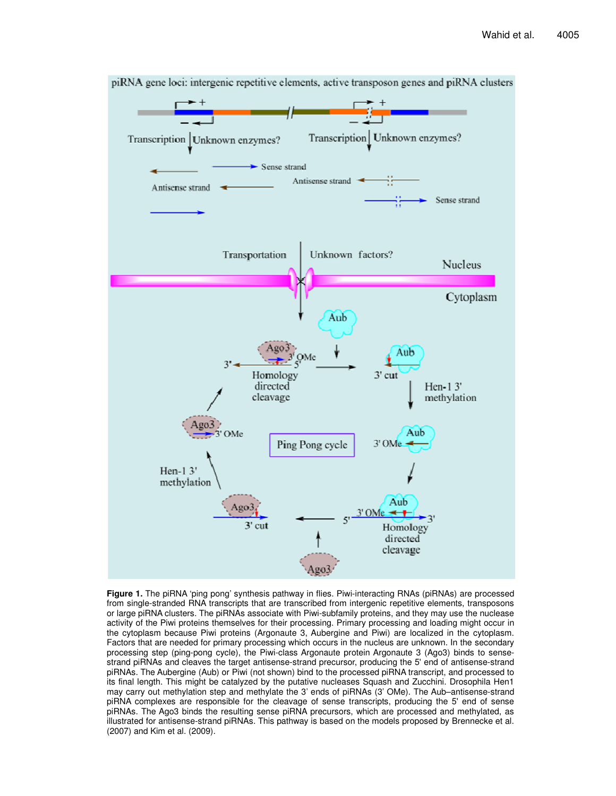

piRNA gene loci: intergenic repetitive elements, active transposon genes and piRNA clusters

**Figure 1.** The piRNA 'ping pong' synthesis pathway in flies. Piwi-interacting RNAs (piRNAs) are processed from single-stranded RNA transcripts that are transcribed from intergenic repetitive elements, transposons or large piRNA clusters. The piRNAs associate with Piwi-subfamily proteins, and they may use the nuclease activity of the Piwi proteins themselves for their processing. Primary processing and loading might occur in the cytoplasm because Piwi proteins (Argonaute 3, Aubergine and Piwi) are localized in the cytoplasm. Factors that are needed for primary processing which occurs in the nucleus are unknown. In the secondary processing step (ping-pong cycle), the Piwi-class Argonaute protein Argonaute 3 (Ago3) binds to sensestrand piRNAs and cleaves the target antisense-strand precursor, producing the 5' end of antisense-strand piRNAs. The Aubergine (Aub) or Piwi (not shown) bind to the processed piRNA transcript, and processed to its final length. This might be catalyzed by the putative nucleases Squash and Zucchini. Drosophila Hen1 may carry out methylation step and methylate the 3' ends of piRNAs (3' OMe). The Aub–antisense-strand piRNA complexes are responsible for the cleavage of sense transcripts, producing the 5' end of sense piRNAs. The Ago3 binds the resulting sense piRNA precursors, which are processed and methylated, as illustrated for antisense-strand piRNAs. This pathway is based on the models proposed by Brennecke et al. (2007) and Kim et al. (2009).